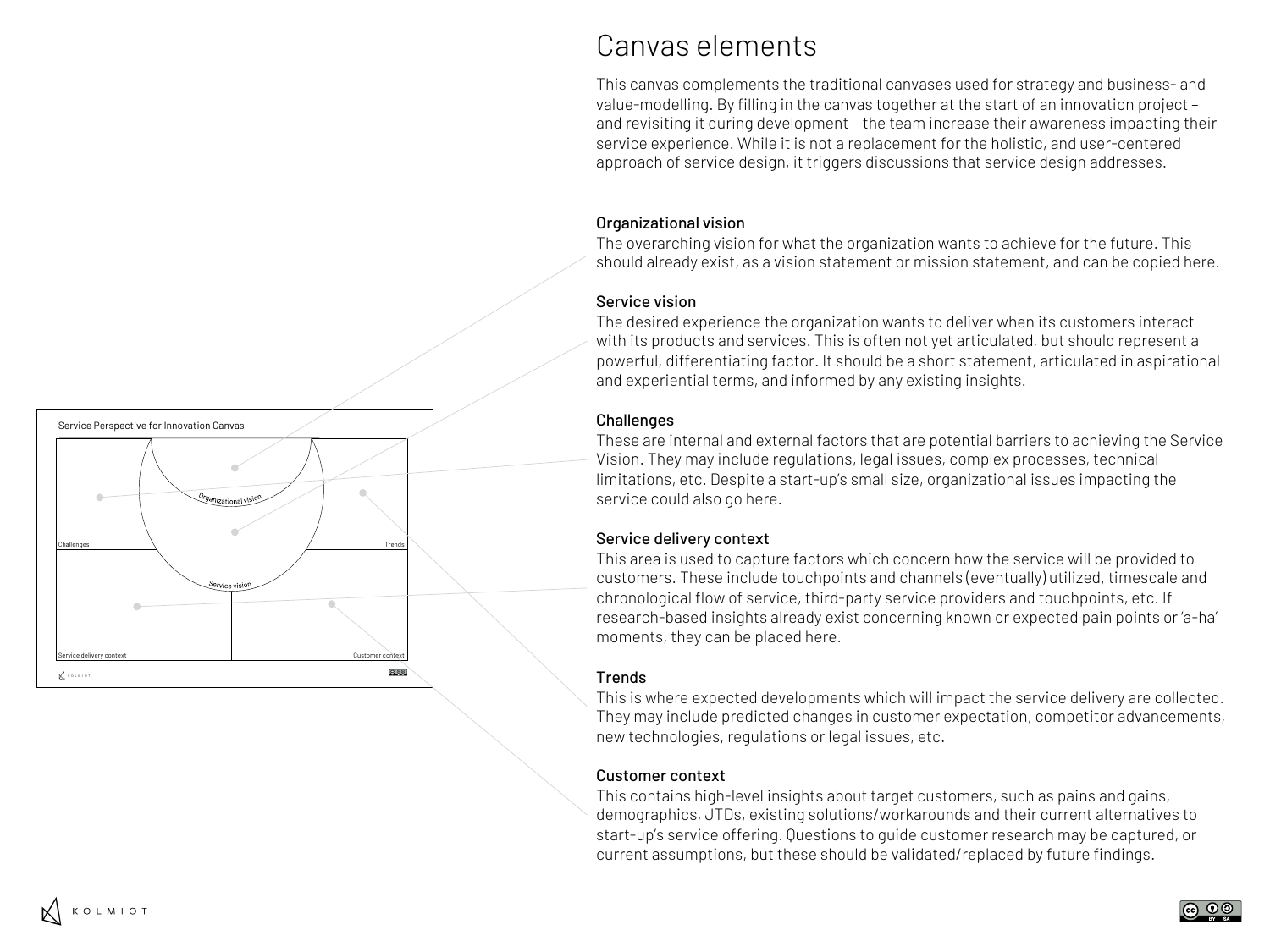

# Canvas elements

This canvas complements the traditional canvases used for strategy and business- and value-modelling. By filling in the canvas together at the start of an innovation project – and revisiting it during development – the team increase their awareness impacting their service experience. While it is not a replacement for the holistic, and user-centered approach of service design, it triggers discussions that service design addresses.

#### Organizational vision

The overarching vision for what the organization wants to achieve for the future. This should already exist, as a vision statement or mission statement, and can be copied here.

#### Service vision

The desired experience the organization wants to deliver when its customers interact with its products and services. This is often not yet articulated, but should represent a powerful, differentiating factor. It should be a short statement, articulated in aspirational and experiential terms, and informed by any existing insights.

### **Challenges**

These are internal and external factors that are potential barriers to achieving the Service Vision. They may include regulations, legal issues, complex processes, technical limitations, etc. Despite a start-up's small size, organizational issues impacting the service could also go here.

### Service delivery context

This area is used to capture factors which concern how the service will be provided to customers. These include touchpoints and channels (eventually) utilized, timescale and chronological flow of service, third-party service providers and touchpoints, etc. If research-based insights already exist concerning known or expected pain points or 'a-ha' moments, they can be placed here.

### **Trends**

This is where expected developments which will impact the service delivery are collected. They may include predicted changes in customer expectation, competitor advancements, new technologies, regulations or legal issues, etc.

### Customer context

This contains high-level insights about target customers, such as pains and gains, demographics, JTDs, existing solutions/workarounds and their current alternatives to start-up's service offering. Questions to guide customer research may be captured, or current assumptions, but these should be validated/replaced by future findings.